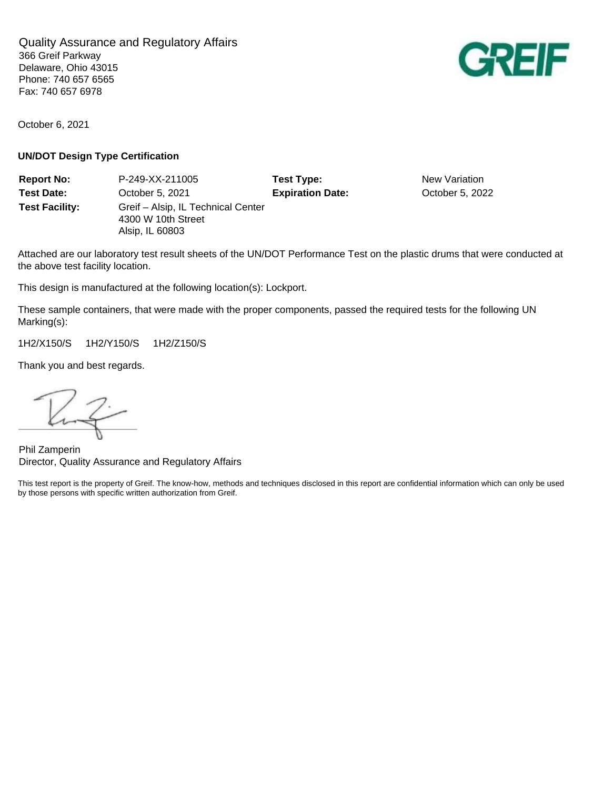Quality Assurance and Regulatory Affairs 366 Greif Parkway Delaware, Ohio 43015 Phone: 740 657 6565 Fax: 740 657 6978

October 6, 2021

## **UN/DOT Design Type Certification**

**Report No:** P-249-XX-211005 **Test Type:** New Variation **Test Date:** October 5, 2021 **Expiration Date:** October 5, 2022 **Test Facility:** Greif – Alsip, IL Technical Center 4300 W 10th Street Alsip, IL 60803

Attached are our laboratory test result sheets of the UN/DOT Performance Test on the plastic drums that were conducted at the above test facility location.

This design is manufactured at the following location(s): Lockport.

These sample containers, that were made with the proper components, passed the required tests for the following UN Marking(s):

1H2/X150/S 1H2/Y150/S 1H2/Z150/S

Thank you and best regards.

Kurzi

Phil Zamperin Director, Quality Assurance and Regulatory Affairs

This test report is the property of Greif. The know-how, methods and techniques disclosed in this report are confidential information which can only be used by those persons with specific written authorization from Greif.

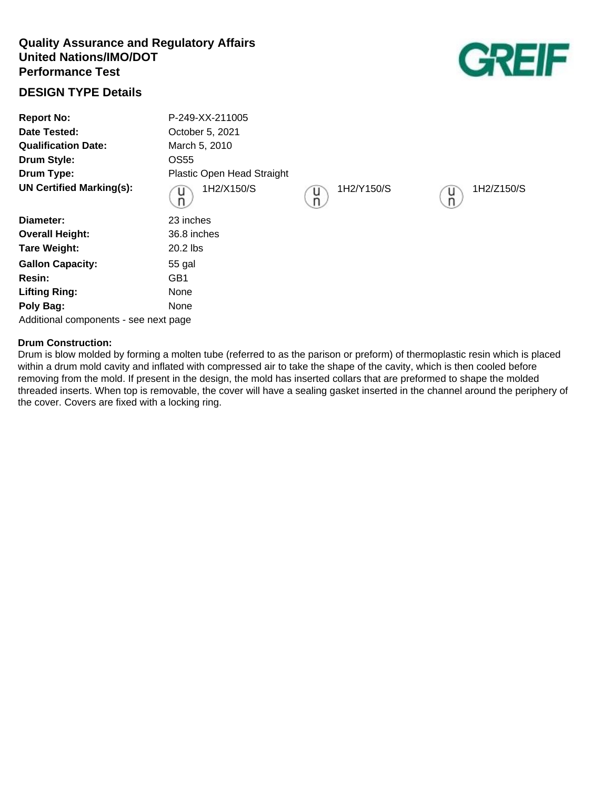# **Quality Assurance and Regulatory Affairs United Nations/IMO/DOT Performance Test**

# **DESIGN TYPE Details**

| <b>Report No:</b><br>Date Tested:<br><b>Qualification Date:</b><br><b>Drum Style:</b> | P-249-XX-211005<br>October 5, 2021<br>March 5, 2010<br>OS55 |                      |                      |
|---------------------------------------------------------------------------------------|-------------------------------------------------------------|----------------------|----------------------|
| Drum Type:                                                                            | Plastic Open Head Straight                                  |                      |                      |
| <b>UN Certified Marking(s):</b>                                                       | 1H2/X150/S<br>u<br>n                                        | 1H2/Y150/S<br>u<br>n | 1H2/Z150/S<br>u<br>n |
| Diameter:                                                                             | 23 inches                                                   |                      |                      |
| <b>Overall Height:</b>                                                                | 36.8 inches                                                 |                      |                      |
| <b>Tare Weight:</b>                                                                   | 20.2 lbs                                                    |                      |                      |
| <b>Gallon Capacity:</b>                                                               | 55 gal                                                      |                      |                      |
| Resin:                                                                                | GB1                                                         |                      |                      |
| <b>Lifting Ring:</b>                                                                  | None                                                        |                      |                      |
| Poly Bag:                                                                             | None                                                        |                      |                      |

Additional components - see next page

## **Drum Construction:**

Drum is blow molded by forming a molten tube (referred to as the parison or preform) of thermoplastic resin which is placed within a drum mold cavity and inflated with compressed air to take the shape of the cavity, which is then cooled before removing from the mold. If present in the design, the mold has inserted collars that are preformed to shape the molded threaded inserts. When top is removable, the cover will have a sealing gasket inserted in the channel around the periphery of the cover. Covers are fixed with a locking ring.

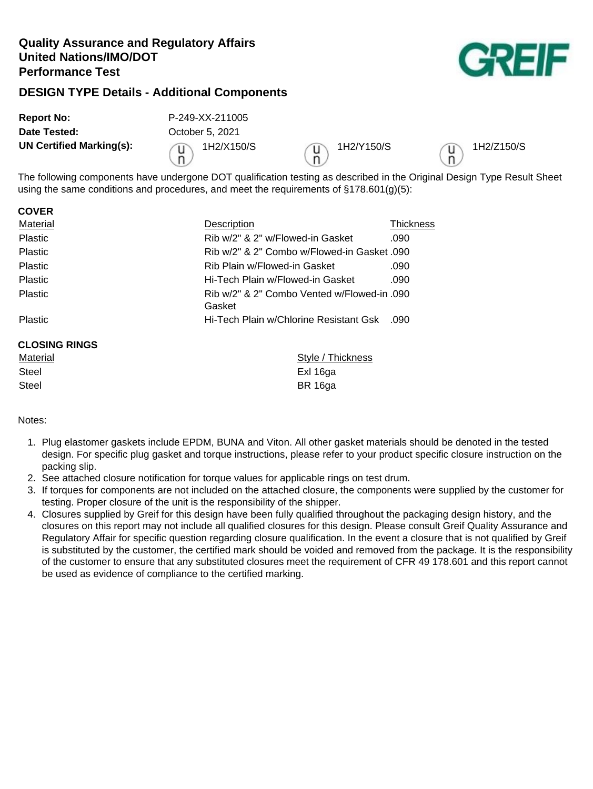# **Quality Assurance and Regulatory Affairs United Nations/IMO/DOT Performance Test**



# **DESIGN TYPE Details - Additional Components**

| <b>Report No:</b>        | P-249-XX-211005 |                 |            |
|--------------------------|-----------------|-----------------|------------|
| Date Tested:             | October 5, 2021 |                 |            |
| UN Certified Marking(s): | 1H2/X150/S      | 1H2/Y150/S<br>n | 1H2/Z150/S |

The following components have undergone DOT qualification testing as described in the Original Design Type Result Sheet using the same conditions and procedures, and meet the requirements of  $\S 178.601(q)(5)$ :

| <b>GUVER</b>         |                                                       |           |
|----------------------|-------------------------------------------------------|-----------|
| Material             | <b>Description</b>                                    | Thickness |
| <b>Plastic</b>       | Rib w/2" & 2" w/Flowed-in Gasket                      | .090      |
| <b>Plastic</b>       | Rib w/2" & 2" Combo w/Flowed-in Gasket 090            |           |
| <b>Plastic</b>       | Rib Plain w/Flowed-in Gasket                          | .090      |
| <b>Plastic</b>       | Hi-Tech Plain w/Flowed-in Gasket                      | .090      |
| <b>Plastic</b>       | Rib w/2" & 2" Combo Vented w/Flowed-in .090<br>Gasket |           |
| <b>Plastic</b>       | Hi-Tech Plain w/Chlorine Resistant Gsk                | .090      |
| <b>CLOSING RINGS</b> |                                                       |           |
| Material             | /le / Thickness                                       |           |

| Material | Style / Thickness |
|----------|-------------------|
| Steel    | Exl 16ga          |
| Steel    | BR 16ga           |

## Notes:

**COVER**

- 1. Plug elastomer gaskets include EPDM, BUNA and Viton. All other gasket materials should be denoted in the tested design. For specific plug gasket and torque instructions, please refer to your product specific closure instruction on the packing slip.
- 2. See attached closure notification for torque values for applicable rings on test drum.
- 3. If torques for components are not included on the attached closure, the components were supplied by the customer for testing. Proper closure of the unit is the responsibility of the shipper.
- 4. Closures supplied by Greif for this design have been fully qualified throughout the packaging design history, and the closures on this report may not include all qualified closures for this design. Please consult Greif Quality Assurance and Regulatory Affair for specific question regarding closure qualification. In the event a closure that is not qualified by Greif is substituted by the customer, the certified mark should be voided and removed from the package. It is the responsibility of the customer to ensure that any substituted closures meet the requirement of CFR 49 178.601 and this report cannot be used as evidence of compliance to the certified marking.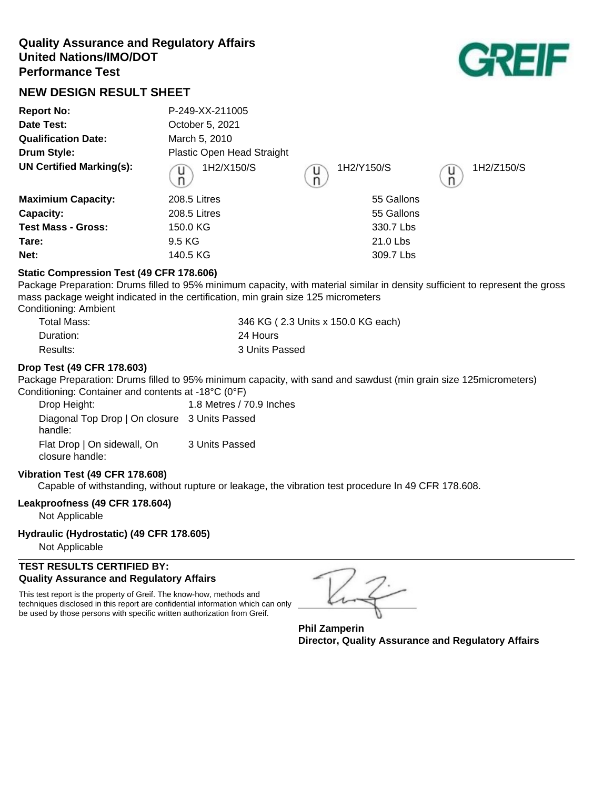# **Quality Assurance and Regulatory Affairs United Nations/IMO/DOT Performance Test**



# **NEW DESIGN RESULT SHEET**

| <b>Report No:</b>               | P-249-XX-211005            |                 |                      |
|---------------------------------|----------------------------|-----------------|----------------------|
| Date Test:                      | October 5, 2021            |                 |                      |
| <b>Qualification Date:</b>      | March 5, 2010              |                 |                      |
| <b>Drum Style:</b>              | Plastic Open Head Straight |                 |                      |
| <b>UN Certified Marking(s):</b> | 1H2/X150/S<br>u            | 1H2/Y150/S<br>u | 1H2/Z150/S<br>U<br>n |
| <b>Maximium Capacity:</b>       | 208.5 Litres               | 55 Gallons      |                      |
| Capacity:                       | 208.5 Litres               | 55 Gallons      |                      |
| <b>Test Mass - Gross:</b>       | 150.0 KG                   | 330.7 Lbs       |                      |
| Tare:                           | 9.5 KG                     | 21.0 Lbs        |                      |
| Net:                            | 140.5 KG                   | 309.7 Lbs       |                      |

## **Static Compression Test (49 CFR 178.606)**

Package Preparation: Drums filled to 95% minimum capacity, with material similar in density sufficient to represent the gross mass package weight indicated in the certification, min grain size 125 micrometers Conditioning: Ambient

| Total Mass: | 346 KG (2.3 Units x 150.0 KG each) |
|-------------|------------------------------------|
| Duration:   | 24 Hours                           |
| Results:    | 3 Units Passed                     |

## **Drop Test (49 CFR 178.603)**

Package Preparation: Drums filled to 95% minimum capacity, with sand and sawdust (min grain size 125micrometers) Conditioning: Container and contents at -18°C (0°F)

Drop Height: 1.8 Metres / 70.9 Inches Diagonal Top Drop | On closure 3 Units Passed handle: Flat Drop | On sidewall, On closure handle: 3 Units Passed

## **Vibration Test (49 CFR 178.608)**

Capable of withstanding, without rupture or leakage, the vibration test procedure In 49 CFR 178.608.

## **Leakproofness (49 CFR 178.604)**

Not Applicable

#### **Hydraulic (Hydrostatic) (49 CFR 178.605)**

Not Applicable

## **TEST RESULTS CERTIFIED BY: Quality Assurance and Regulatory Affairs**

This test report is the property of Greif. The know-how, methods and techniques disclosed in this report are confidential information which can only be used by those persons with specific written authorization from Greif.

**Phil Zamperin Director, Quality Assurance and Regulatory Affairs**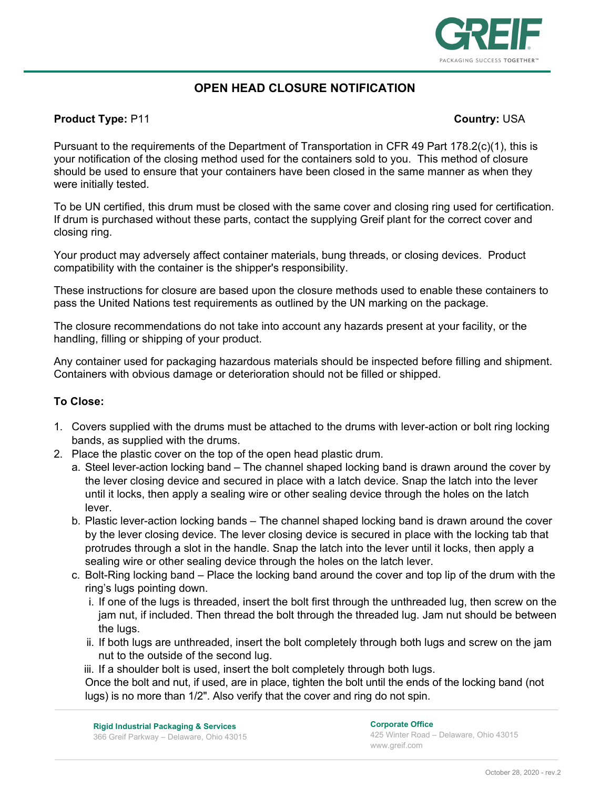

# **OPEN HEAD CLOSURE NOTIFICATION**

## **Product Type: P11 Country: USA**

Pursuant to the requirements of the Department of Transportation in CFR 49 Part 178.2(c)(1), this is your notification of the closing method used for the containers sold to you. This method of closure should be used to ensure that your containers have been closed in the same manner as when they were initially tested.

To be UN certified, this drum must be closed with the same cover and closing ring used for certification. If drum is purchased without these parts, contact the supplying Greif plant for the correct cover and closing ring.

Your product may adversely affect container materials, bung threads, or closing devices. Product compatibility with the container is the shipper's responsibility.

These instructions for closure are based upon the closure methods used to enable these containers to pass the United Nations test requirements as outlined by the UN marking on the package.

The closure recommendations do not take into account any hazards present at your facility, or the handling, filling or shipping of your product.

Any container used for packaging hazardous materials should be inspected before filling and shipment. Containers with obvious damage or deterioration should not be filled or shipped.

## **To Close:**

- 1. Covers supplied with the drums must be attached to the drums with lever-action or bolt ring locking bands, as supplied with the drums.
- 2. Place the plastic cover on the top of the open head plastic drum.
	- a. Steel lever-action locking band The channel shaped locking band is drawn around the cover by the lever closing device and secured in place with a latch device. Snap the latch into the lever until it locks, then apply a sealing wire or other sealing device through the holes on the latch lever.
	- b. Plastic lever-action locking bands The channel shaped locking band is drawn around the cover by the lever closing device. The lever closing device is secured in place with the locking tab that protrudes through a slot in the handle. Snap the latch into the lever until it locks, then apply a sealing wire or other sealing device through the holes on the latch lever.
	- c. Bolt-Ring locking band Place the locking band around the cover and top lip of the drum with the ring's lugs pointing down.
		- i. If one of the lugs is threaded, insert the bolt first through the unthreaded lug, then screw on the jam nut, if included. Then thread the bolt through the threaded lug. Jam nut should be between the lugs.
		- ii. If both lugs are unthreaded, insert the bolt completely through both lugs and screw on the jam nut to the outside of the second lug.
		- iii. If a shoulder bolt is used, insert the bolt completely through both lugs.

Once the bolt and nut, if used, are in place, tighten the bolt until the ends of the locking band (not lugs) is no more than 1/2". Also verify that the cover and ring do not spin.

**Corporate Office**  425 Winter Road – Delaware, Ohio 43015 www.greif.com